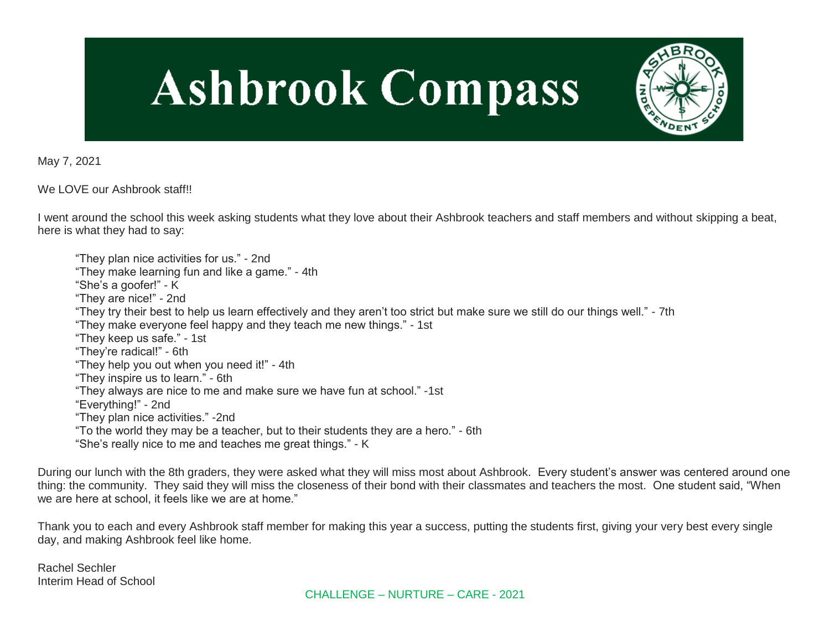# **Ashbrook Compass**



May 7, 2021

We LOVE our Ashbrook staff!!

I went around the school this week asking students what they love about their Ashbrook teachers and staff members and without skipping a beat, here is what they had to say:

"They plan nice activities for us." - 2nd "They make learning fun and like a game." - 4th "She's a goofer!" - K "They are nice!" - 2nd "They try their best to help us learn effectively and they aren't too strict but make sure we still do our things well." - 7th "They make everyone feel happy and they teach me new things." - 1st "They keep us safe." - 1st "They're radical!" - 6th "They help you out when you need it!" - 4th "They inspire us to learn." - 6th "They always are nice to me and make sure we have fun at school." -1st "Everything!" - 2nd "They plan nice activities." -2nd "To the world they may be a teacher, but to their students they are a hero." - 6th "She's really nice to me and teaches me great things." - K

During our lunch with the 8th graders, they were asked what they will miss most about Ashbrook. Every student's answer was centered around one thing: the community. They said they will miss the closeness of their bond with their classmates and teachers the most. One student said, "When we are here at school, it feels like we are at home."

Thank you to each and every Ashbrook staff member for making this year a success, putting the students first, giving your very best every single day, and making Ashbrook feel like home.

Rachel Sechler Interim Head of School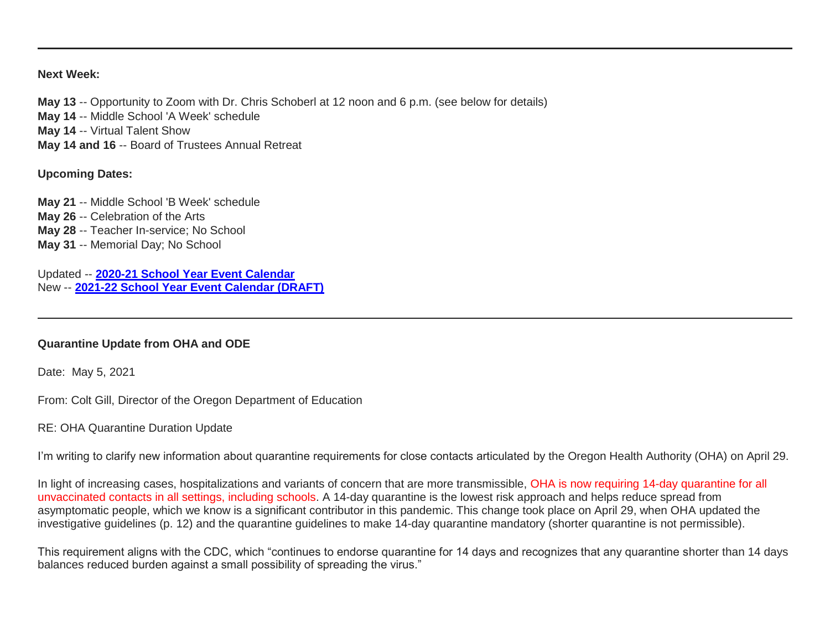### **Next Week:**

**May 13** -- Opportunity to Zoom with Dr. Chris Schoberl at 12 noon and 6 p.m. (see below for details) **May 14** -- Middle School 'A Week' schedule **May 14** -- Virtual Talent Show **May 14 and 16** -- Board of Trustees Annual Retreat

## **Upcoming Dates:**

**May 21** -- Middle School 'B Week' schedule **May 26** -- Celebration of the Arts **May 28** -- Teacher In-service; No School **May 31** -- Memorial Day; No School

Updated -- **[2020-21 School Year Event Calendar](http://link.mystudentsprogress.com/ls/click?upn=t3AI3kjK1Pyk9qPfHnOahelBVVSIlRAa3GeSLMbkINmgHr3guxrPuqfp-2Bh-2FJW4nCZ4g8Gi3XkGXC-2FKATZbsSvlLtGaxynoxi8rg7wuoRjJ9ogb5HbX999Eip-2FZE6wLdBt-2FZXHJBS6zquMLtzN9wyAf-2BwWQPV3rI3lDDknuQ1JHMBzJ8gUYT-2F7YzNEwZY9IsL01sHprQ-2FIDOi-2FxvxQxcWeu-2FLg4DWCvJZy51IrsH8vPbEbNYiaMe7OT-2BYVHBjA6If6Cy7Mms4taffQVXa23QhNsE07HaGgkiu3fqtaJkTJjujoF8geB-2B7yrFJlU-2Bh73cj7oh1KB0ZWcWlNyH4qILVtYy3xahPAyIDi-2FG8GbPIbbMnjHGsyDRcKhRBK01iIs0fWqLDocQrloAUZMJ2oyRRmomJiqxd8x5nm2tsxL6wpP0tqjz-2BRT10Y58FhIoH48TgPplUYhhzJvLEmRSNpyhz5VhooRDAGAW42Jwa7NEBpqdQd1pC7c9i74l-2B7qocqb4NFCx2zNQdMXBq7aPsdV1jBwFOcBoDfD-2BkMY9Q2-2Fz5TM9xC3hN5KM3lImdKPKAuQlU8z9DBnPQ6JHoZkYX6gdK1q2EDnTQzS1hFboCQrgWAPMKvnFvGQ91zsZ3YbPRZrtBTsE8nm0LFctt1l2hLHszorEeN2S9WwA5wgERaD7rVnB33cySZWT-2BioV-2FxoVNhOXSQ-2B9Ak4v5yJ76uEuEAAGsNS-2Bs-2B7xzZZxiJOoOrzyLh68-3DC6j-_1PndbFfBoQGSZbxwXHHEexw3B2F0fG-2BUmuXm6a-2BX-2Bzv5QdU-2BeLdmJk6wnDe96kQWHYBh-2FPW1LEsdhLJkEa2VNmYs0nwZ0PHzYpG7qaVolNcrGziWeT3V39NJYhHjxpapwymABEQYoTERdTi35qnVKEmyj4rUDrOHv7SqrYMKDqEqP62veQCwY8DDZobF6-2BOWtoD10Eklaw3AHYERAg6NVu5exs-2F-2BJbbCD8UgZ9nxC-2B7wgwjKkwftu0TqhACMnbFehuuQ01Ln1-2Fmv3esVYSCHP7hMwK59JnvtdM4iHxYyApjaK5Zf1NucBWlA3yc8eDZptXd94M2hDT8bEX6IkapvkqqFNEQ2rnzkeNn5eOlulNYQ2IAbMqC0UuOltyFsnj4gS3yG0ioSLULYWuWdi3jVD-2F4dXaf2RKBoQWfwUoc-2Fmmj4e8SSnBAEFPsrtW40xJv5)** New -- **[2021-22 School Year Event Calendar \(DRAFT\)](http://link.mystudentsprogress.com/ls/click?upn=t3AI3kjK1Pyk9qPfHnOahelBVVSIlRAa3GeSLMbkINmgHr3guxrPuqfp-2Bh-2FJW4nCZ4g8Gi3XkGXC-2FKATZbsSvlLtGaxynoxi8rg7wuoRjJ9ogb5HbX999Eip-2FZE6wLdBt-2FZXHJBS6zquMLtzN9wyAf-2BwWQPV3rI3lDDknuQ1JHMBzJ8gUYT-2F7YzNEwZY9IsL01sHprQ-2FIDOi-2FxvxQxcWetx3uPiVsOO-2BTqPctwW7ytf9RkxC1x3UjTIEBtRaqxRocHrr-2BmciBR4-2BJ-2F9FRK9RIbCVijz3zpNIIcd4PIsUMddSSVNBf6Erlmv-2BHBcLMpY-2BXATDQ1ruaOReFDZmWYSBv8U-2FG-2FKOr0yEkAwqSdMzdcQ3gq4Z79RZNOTZP4nGap5-2B4nzc4nIf29OyD3NhvJHQaLkc85sE-2FfYbPaGyyk6H2FOzJRYThJmT37US6LpTrGNlh9HxVTLYe1LpjcNTBXNJsSKlp-2BAa-2BVuGTdE8v33fTt9-2BgR-2BE9tSlDPzhNHxWPZ2RZ535aLRz3SoCCiPZR3EABfh4FMKDRC4z2q-2Bvjvbtim7SOD4kDD2r5XYSDBe4a3bcI5fNds6iRAQWmj3uDnwn3-2B3tKuGNT1JKaRpJXKTgGLzWZLAnNUo4fvdQC77H83vaK-2BM8PCeLuljt-2FRAsnx0cP-2FGdRouESOyMOB5ORkT-2BH-2Bkw4hRRiiTCpe61BsZqpA-2Bu5DG2_1PndbFfBoQGSZbxwXHHEexw3B2F0fG-2BUmuXm6a-2BX-2Bzv5QdU-2BeLdmJk6wnDe96kQWHYBh-2FPW1LEsdhLJkEa2VNrXPpgYu7jkmJ5GySsUZTPI2ycANISDOxqWepevxjH88NYn1jcTxgxzyJQnNkxxo-2BV2uDnTkTQjNGUcsg5vm8iHxDkGQbN2lDZSCUdQ9a29Cel46PuFLLSIiXjqvw0R53ao96mVRe5Bceu3j62EgbmVdrzt3TpLEhHQ4Shj-2F1tfdCSOA7BIdHPbeubVhL9aFbXhws7L6L8PFbNPLGNhrhvQGp5gT0QOHdX7MuLjlErv4UnFfrXRTHr61ZnHzvspYwlw-2BoMb9wudPWZfcNCcOgN-2FG6XWUElZKnH7MCm4GnRZ9GmrIke5ttiiWoJ3nhp9oP1hN-2FvGRNbvvo2H5LbXS6kYT5fFXAt9WQFoZcPoxfGmY)**

## **Quarantine Update from OHA and ODE**

Date: May 5, 2021

From: Colt Gill, Director of the Oregon Department of Education

RE: OHA Quarantine Duration Update

I'm writing to clarify new information about quarantine requirements for close contacts articulated by the Oregon Health Authority (OHA) on April 29.

In light of increasing cases, hospitalizations and variants of concern that are more transmissible, OHA is now requiring 14-day quarantine for all unvaccinated contacts in all settings, including schools. A 14-day quarantine is the lowest risk approach and helps reduce spread from asymptomatic people, which we know is a significant contributor in this pandemic. This change took place on April 29, when OHA updated the investigative guidelines (p. 12) and the quarantine guidelines to make 14-day quarantine mandatory (shorter quarantine is not permissible).

This requirement aligns with the CDC, which "continues to endorse quarantine for 14 days and recognizes that any quarantine shorter than 14 days balances reduced burden against a small possibility of spreading the virus."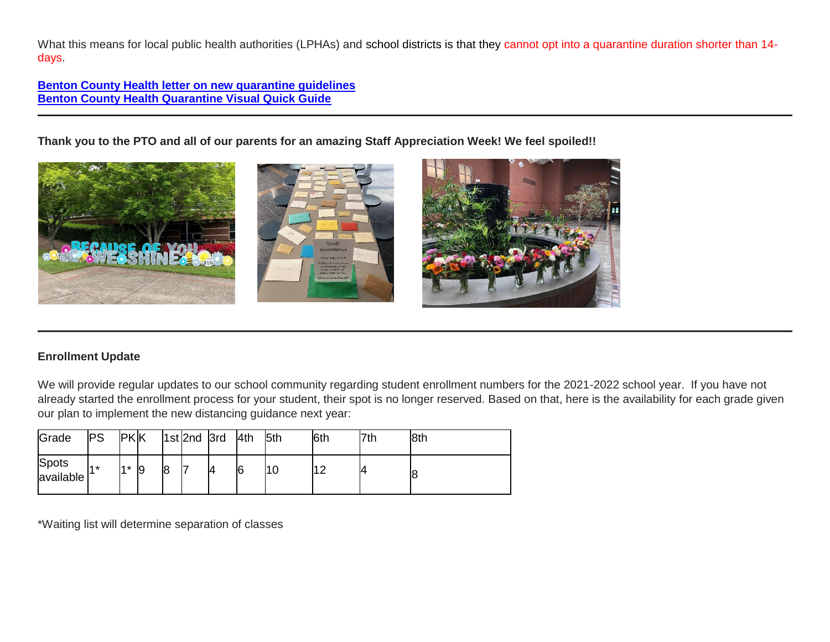What this means for local public health authorities (LPHAs) and school districts is that they cannot opt into a quarantine duration shorter than 14days.

**[Benton County Health letter on new quarantine guidelines](http://link.mystudentsprogress.com/ls/click?upn=n7jYKe39nC4PrVAw2BzaOolgU5XUleaJ61qfvNJxTW3uoi8RFzNYUfSc1qXdqajA34djZWrxIBJBxzp2whbybvqIYp3dDOkCDgKesziBdCmJxF5NngxFxvMMAdTbFCdRKiI4cc8tUA2p4os7SvUPNkg6-2BE2il1DO-2BwbuHNdwyaY-3DeDhb_1PndbFfBoQGSZbxwXHHEexw3B2F0fG-2BUmuXm6a-2BX-2Bzv5QdU-2BeLdmJk6wnDe96kQWHYBh-2FPW1LEsdhLJkEa2VNugG7zPT10552XRy9oruceIFQf-2Fmf-2Fyzr3PkNi-2Fhdao0Z9z-2FnIqihFjng4cpWo9DENiQ8C7hYmErIVeiTxM-2FpI0Rabr7Oj4tBRc71PWwAW8BtGHVGQgPZv4WVyaCYqJBIwbjpeSMvdD-2Bu-2F3p-2FXqFKjmJdU-2FbXc8RDvMe5jOKRFIGsBVTsYTpWOuB1r-2FEPs8mSajR7TaLFfiHJpwWceM31gOGVOG4sLYDc-2BEiUX1yhciTPJTe5OscTbCCAKaGXNljP0zBzgmgW2x8bQe4v2mt8br5iM9-2B1IKjXiNobezIlUE-2FGLg1MusTJYb98MyCWNRQv7vOGN8-2BTBTU4RsopgWL2q5lOIYWT5A-2B9GOgyzNw9mq-2B) [Benton County Health Quarantine Visual Quick Guide](http://link.mystudentsprogress.com/ls/click?upn=n7jYKe39nC4PrVAw2BzaOolgU5XUleaJ61qfvNJxTW3uoi8RFzNYUfSc1qXdqajA34djZWrxIBJBxzp2whbybvqIYp3dDOkCDgKesziBdCnLKj4X5fOWo0F-2F461LFbAyuG12qu3CEEWEbpyBe394-2BW2dRByhI8M5oSui1imxmOc-3Dxf-3_1PndbFfBoQGSZbxwXHHEexw3B2F0fG-2BUmuXm6a-2BX-2Bzv5QdU-2BeLdmJk6wnDe96kQWHYBh-2FPW1LEsdhLJkEa2VNiGnlbE2-2BfpABIga5fUWHSUs997ImWaMIpErOVc2s0W9hYnlM-2FsJkbhqlQ0hA7HcN0GhusuRbgEMnqEbLM-2BjOB9tNteDuNbbH-2BFIy4EEeJH4T26PxreuC96Zc1d7gVEyOkIUAn054LnoAkbz7OnFz-2Bfov3X-2BXdDSPUHLJi6-2FLKvHg0HvqQLe43TkzTMVa2kD0W3GgKnijIE27brQrxCmmAVXk0D6Bm3UY5-2FoVQvJy1D18icRwYfmmmqbHAM4EmS7r-2FOYBhse56-2B6JFV9InIYExEGtB6gx6HPbVlNfAugvvLvM8Qea97a0fUS4yXkrHVtO92lbHIIJ3Pd2ka3nYadjE2vuepaIpXlPEg4x7B-2FrXkm)**

**Thank you to the PTO and all of our parents for an amazing Staff Appreciation Week! We feel spoiled!!**



# **Enrollment Update**

We will provide regular updates to our school community regarding student enrollment numbers for the 2021-2022 school year. If you have not already started the enrollment process for your student, their spot is no longer reserved. Based on that, here is the availability for each grade given our plan to implement the new distancing guidance next year:

| Grade              | <b>PS</b>  | <b>PKK</b> |    |   | 1st 2nd 3rd |    | 4th | 5th | 6th | 7th | 8th |
|--------------------|------------|------------|----|---|-------------|----|-----|-----|-----|-----|-----|
| Spots<br>available | <b>A</b> * | $4*$       | l9 | 8 |             | 14 | 6   | טי  |     |     | 18  |

\*Waiting list will determine separation of classes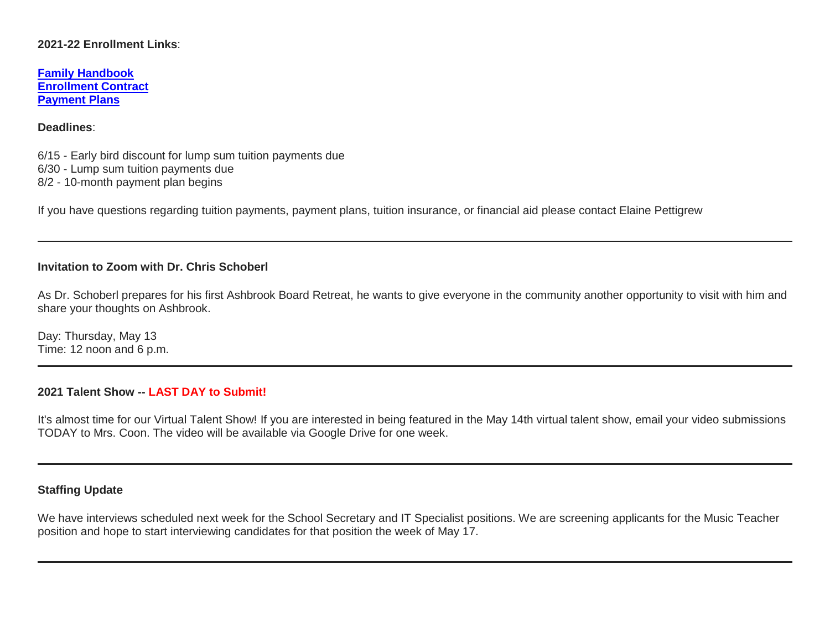## **2021-22 Enrollment Links**:

**[Family Handbook](http://link.mystudentsprogress.com/ls/click?upn=n7jYKe39nC4PrVAw2BzaOolgU5XUleaJ61qfvNJxTW3uoi8RFzNYUfSc1qXdqajA34djZWrxIBJBxzp2whbybvqIYp3dDOkCDgKesziBdCm1u7J5UB6bwQicng-2BhFj8j9ZZ0Lb7IyRpSLLhbS8X-2BNE-2FsFTu5auQ5tTHoLi9o48o-3DKtD2_1PndbFfBoQGSZbxwXHHEexw3B2F0fG-2BUmuXm6a-2BX-2Bzv5QdU-2BeLdmJk6wnDe96kQWHYBh-2FPW1LEsdhLJkEa2VNhJvyvhE-2Br7agUEyi5yImZbILdw7DlxrB6U2CE8WxB4OrGhbrwa8W3qXygH6pc-2BC-2FiqX-2BlggdFnnbD4PlZ5hOdFOlTxR57or3cUw-2BOE96Ax4JQN-2Bs-2Fv1AwuWhafjcij37yyYdu8HrjIbgf2X79o5T7wC4kEHRzKLJ8cbN3IviPgv4G1aoRvICDoxaMK9RLHdeapNM6fe9DqpDWFDLp4KXyDO7rr-2FLC72cgWrceHiTxiyrvy4GLb0dvle6qoyCoPeEkpv2YU-2Bsyo-2BKtIAsSEVGKjE9KT5LOMdC6qoEPpXN2S9VRQgG10EF77NOtB7mfTGa-2B4N-2Fzn9MxTSZ7GDkneYZPc9YQzRPOZWqSm4XqHlpY26) [Enrollment Contract](http://link.mystudentsprogress.com/ls/click?upn=VTTLfIwNu5QFy05N-2BXKA7MM5XZ-2FaPNghD0e589AKGRWdKrXyK6-2Bm8bb1I1DfT5Io0Hv1qAH8mdM37znR5vOcFGB7DIQx2jp4xdjBwuqeZxT1Pjkge-2BjWLaV97kHLeMz5TQtiyRq8-2FrZ-2FtIkmMJcnCvTSbyF8-2BEnMtFIKrlq0nbyYLhMWqtk6N17cNuWkmBCi2eg-2FDcyJo-2FZoHU6aac7YTMbLoqiYM-2Bpq5ghj-2BCMqt1Q-3Dcx7S_1PndbFfBoQGSZbxwXHHEexw3B2F0fG-2BUmuXm6a-2BX-2Bzv5QdU-2BeLdmJk6wnDe96kQWHYBh-2FPW1LEsdhLJkEa2VNlXBSzXX858-2FV7ihECnlLs0g77cceaWoouYQhapkSOrl-2BkNjNnqOFomsBjsLYilOpglewGl9vBsMIS-2F0UDPWx-2F-2FVcOYA5T00LXMtkXjDyamr3aGEKKrD1PvRQKQNXLV8w-2Bwu5b6ciS8-2F1jN0PQxaSqdJBTCbA-2FcG4pIZlxuuXc5NQMAdPxAeaIqSBEPr77HO-2B4vvzPbaWASi8-2F7kNSaqGkF9ooTTB8qi21Z65oAuys3H63zPFvO7Uvc5HNEOJlJc-2F53KH9Nif8aFuQZWHGk1RoIJFxhEpEZ1-2BO7p1IKq38f7Cn3Nb2brog2cxTUj0S0zBIP8LEeKi1W90Mvf4ljv2qrndmlhsj0I0WLQO0ar7pVk) [Payment Plans](http://link.mystudentsprogress.com/ls/click?upn=n7jYKe39nC4PrVAw2BzaOolgU5XUleaJ61qfvNJxTW3uoi8RFzNYUfSc1qXdqajA34djZWrxIBJBxzp2whbybvqIYp3dDOkCDgKesziBdClkeFpPmgMGrgcxNe5TC96odu91tl93IdUb7rzqL2LYFkOwDdym2keCOp3gkw-2Fos5E-3DfJ6a_1PndbFfBoQGSZbxwXHHEexw3B2F0fG-2BUmuXm6a-2BX-2Bzv5QdU-2BeLdmJk6wnDe96kQWHYBh-2FPW1LEsdhLJkEa2VNvT2EXIaWDHKw1w-2BLugJaAwVDkWOckiGanwAMwtz8CjW8y65kb0XDvmmc20OHgFn5jT6bFCLtFc1B6lfJmmvscNSiZ3hM8FFXGO0oJl2paIlI-2BhXlPJ509I4ZC9Crq1m0XrBmr2r4rUKEyabd3w-2FaTXXBl9m0SuuvQlyVNtGGgAkFGaRYlk2plJVa9oRzLu-2B8BVLX1ua-2F4WzwlIWsJHWU5aQxucatyjCZCvNIcp3zlSK-2F1lClaoE5hsS3Bjj73Be5VlBTx5n9yinfh4wjSB3L5PD2V1REATEmanraEdeolezpRjdZKF2lJ9D5EEkixZbdPQT1g-2FkaovwkvGgudcmmYAQZZsw8dZdy7QwkMwXAiww)**

### **Deadlines**:

6/15 - Early bird discount for lump sum tuition payments due 6/30 - Lump sum tuition payments due

8/2 - 10-month payment plan begins

If you have questions regarding tuition payments, payment plans, tuition insurance, or financial aid please contact Elaine Pettigrew

## **Invitation to Zoom with Dr. Chris Schoberl**

As Dr. Schoberl prepares for his first Ashbrook Board Retreat, he wants to give everyone in the community another opportunity to visit with him and share your thoughts on Ashbrook.

Day: Thursday, May 13 Time: 12 noon and 6 p.m.

## **2021 Talent Show -- LAST DAY to Submit!**

It's almost time for our Virtual Talent Show! If you are interested in being featured in the May 14th virtual talent show, email your video submissions TODAY to Mrs. Coon. The video will be available via Google Drive for one week.

# **Staffing Update**

We have interviews scheduled next week for the School Secretary and IT Specialist positions. We are screening applicants for the Music Teacher position and hope to start interviewing candidates for that position the week of May 17.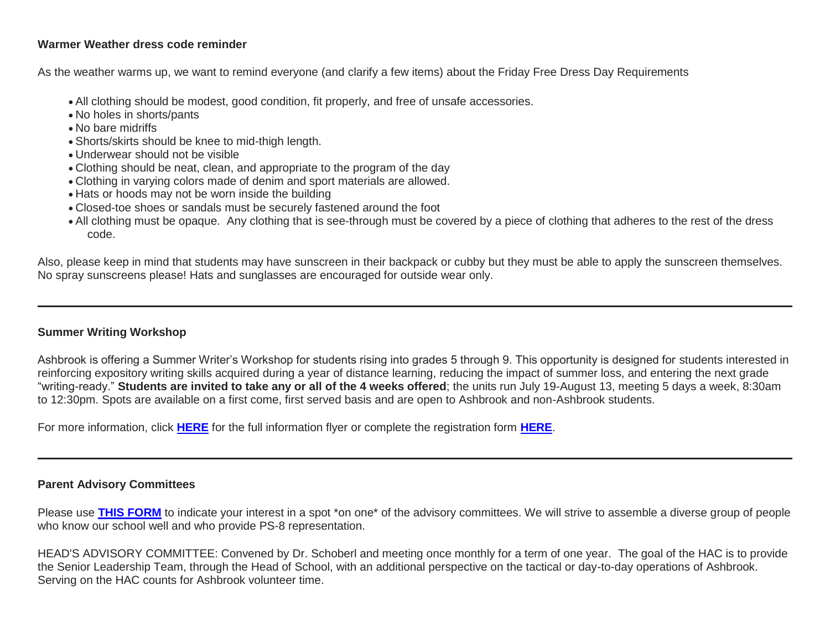# **Warmer Weather dress code reminder**

As the weather warms up, we want to remind everyone (and clarify a few items) about the Friday Free Dress Day Requirements

- All clothing should be modest, good condition, fit properly, and free of unsafe accessories.
- No holes in shorts/pants
- No bare midriffs
- Shorts/skirts should be knee to mid-thigh length.
- Underwear should not be visible
- Clothing should be neat, clean, and appropriate to the program of the day
- Clothing in varying colors made of denim and sport materials are allowed.
- Hats or hoods may not be worn inside the building
- Closed-toe shoes or sandals must be securely fastened around the foot
- All clothing must be opaque. Any clothing that is see-through must be covered by a piece of clothing that adheres to the rest of the dress code.

Also, please keep in mind that students may have sunscreen in their backpack or cubby but they must be able to apply the sunscreen themselves. No spray sunscreens please! Hats and sunglasses are encouraged for outside wear only.

# **Summer Writing Workshop**

Ashbrook is offering a Summer Writer's Workshop for students rising into grades 5 through 9. This opportunity is designed for students interested in reinforcing expository writing skills acquired during a year of distance learning, reducing the impact of summer loss, and entering the next grade "writing-ready." **Students are invited to take any or all of the 4 weeks offered**; the units run July 19-August 13, meeting 5 days a week, 8:30am to 12:30pm. Spots are available on a first come, first served basis and are open to Ashbrook and non-Ashbrook students.

For more information, click **[HERE](http://link.mystudentsprogress.com/ls/click?upn=n7jYKe39nC4PrVAw2BzaOolgU5XUleaJ61qfvNJxTW3uoi8RFzNYUfSc1qXdqajA34djZWrxIBJBxzp2whbybvqIYp3dDOkCDgKesziBdCmUFK611Dwx09bu-2FHGeGjMdYMdlKOkEJljN4aGLHb-2FYq2T0mejVJ9zz4sJVp9uFP1r-2FqIIxALPi9YeUjY-2FEHo0ApQ-C_1PndbFfBoQGSZbxwXHHEexw3B2F0fG-2BUmuXm6a-2BX-2Bzv5QdU-2BeLdmJk6wnDe96kQWHYBh-2FPW1LEsdhLJkEa2VNtzsWDOvfoD6IxToWjPlUUOYwZY80A7mqvgZhKcHqxweAjUQnYIKhiLYyO8zs9msEaVvc9dyKw9dQ4AkmpGwDtesr3-2FeJKeLBl-2F30KBGMLSK6XyMFNzx5hvnZGLqMTUn18x0uEw5yY7Ei63NWSKhn4-2F6QCXKtZSngSrNLsPguWH6RZKPWUZUn4ejqDPmgX8yzHDqR9Vqb4rAJpSCFltNfXp4qXOWbTaWkttQLzSRYEOJ3o9FE8KE7gGdBYqx5pN5o4PiUkOd2PJPL8psK7PrPV83MkE9lvyb-2BJjyUgBOFwc5T75PZfRdmjOFAsGoW4jNnMcmTD5je4SA3ZX8Pn-2BlEt2Sw5fvIkgYTxjVsBnmZJhJ)** for the full information flyer or complete the registration form **[HERE](http://link.mystudentsprogress.com/ls/click?upn=qkro44VJaETWQ07zA-2B-2FiE0363Dmsi-2F5FxyhrW5Y7wr4-3Dsn7__1PndbFfBoQGSZbxwXHHEexw3B2F0fG-2BUmuXm6a-2BX-2Bzv5QdU-2BeLdmJk6wnDe96kQWHYBh-2FPW1LEsdhLJkEa2VNu98qPFbAEKr-2FLchXpvrBWiYQpVpkN1KMqm-2BBC9patV0i5lVkD5E67ld7oKHMnA7qHrfOOWfr-2B-2BJUeDmkhUSke0-2B7386PR5d7bUbzenNiA79gguSxEvFHjS0GICTVw79aKVa-2F6z8YFte7JNVJRDhb-2B8AuSbvBA6HXDj1RMge0VKUbDFhRRvkCSX7vj-2FXdC6rPpUMkrdnioDivYzjQMe7zO6s-2FBT1qXJMvC3CKqX39E28AdZBNUuHGM7idAJVb1rDm6TGLDubZcHKqHutvUqUhHckkG3mQ6Pe2cygdQZlw9xQAGlBCdYQJIWTHmnEa6Mo-2B-2B5r8pzbKxzCuhogLLOM0nCOXME9swOgGTPvGGHwDvJ2)**.

# **Parent Advisory Committees**

Please use **[THIS FORM](http://link.mystudentsprogress.com/ls/click?upn=VpBe6Z9t6RkEC4qAoQCeri-2FFFh7llDqKppeMq4GAyjRWQxckQw26M-2Bv6Io9sYjjz4z-2FsFat4W1gTrNdlaCA-2Bndeh09PVfGi5cnvsKjjo4-2FiBko-2FuvDSeRzeHuMiowAeTH-2FrUjIO6vJRMhpVYJdhm-2FQ-3D-3DJ9N6_1PndbFfBoQGSZbxwXHHEexw3B2F0fG-2BUmuXm6a-2BX-2Bzv5QdU-2BeLdmJk6wnDe96kQWHYBh-2FPW1LEsdhLJkEa2VNmaC-2BcmKYpFeoeOTOzQpJ8x2Z9WWl8oFQ4-2FjMK4L5y78isRqROEn2LvohXk3Ly5JoLiVF-2BuBcRgmzStPpXwkg7FJPxoVEy-2FAmGEIpnbgR5mD8y9pGOFf7KvMXJQ2f1wmTLLI42uEvUNmrQTYGk2KDTfKIisVOGUVA-2FEVW4eKQG5IGbb9OuaBC-2BVV4SzGP9YUwHu9DYxnI25-2FMUr-2FE94T7IPtroYEuE9l2RzyM7Ptv3kw50PydK7dOQ6UtW-2BbF6ZOY3TFBCtmz20IfOf2JXgQ-2Bp2imNTdV2tmZQide6lm24ew9BjjC-2Fn3Rc80RrMZ-2FekzAEveGb-2F2-2FKbTbx3YUIgJyL-2BD8FX5dsoY68D1-2BM3KG4FM)** to indicate your interest in a spot \*on one\* of the advisory committees. We will strive to assemble a diverse group of people who know our school well and who provide PS-8 representation.

HEAD'S ADVISORY COMMITTEE: Convened by Dr. Schoberl and meeting once monthly for a term of one year. The goal of the HAC is to provide the Senior Leadership Team, through the Head of School, with an additional perspective on the tactical or day-to-day operations of Ashbrook. Serving on the HAC counts for Ashbrook volunteer time.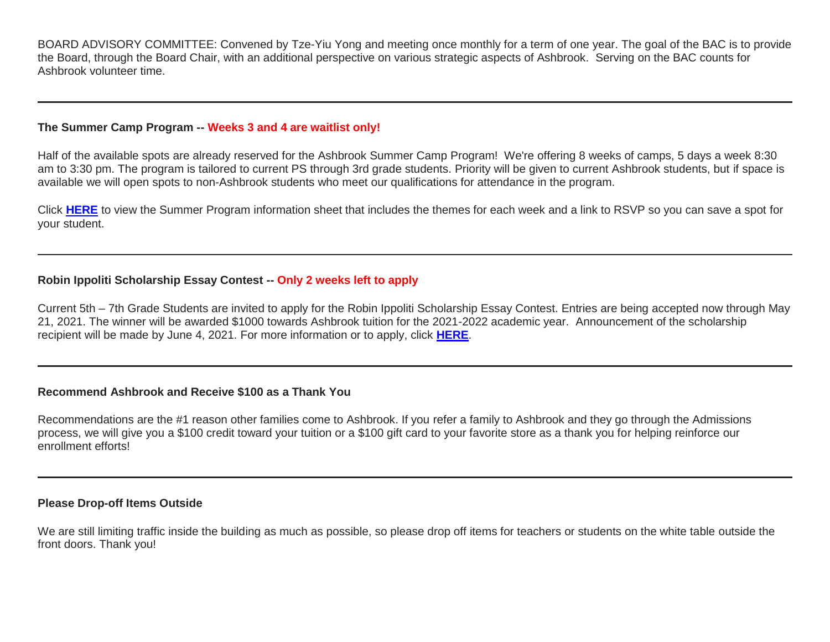BOARD ADVISORY COMMITTEE: Convened by Tze-Yiu Yong and meeting once monthly for a term of one year. The goal of the BAC is to provide the Board, through the Board Chair, with an additional perspective on various strategic aspects of Ashbrook. Serving on the BAC counts for Ashbrook volunteer time.

## **The Summer Camp Program -- Weeks 3 and 4 are waitlist only!**

Half of the available spots are already reserved for the Ashbrook Summer Camp Program! We're offering 8 weeks of camps, 5 days a week 8:30 am to 3:30 pm. The program is tailored to current PS through 3rd grade students. Priority will be given to current Ashbrook students, but if space is available we will open spots to non-Ashbrook students who meet our qualifications for attendance in the program.

Click **[HERE](http://link.mystudentsprogress.com/ls/click?upn=t3AI3kjK1Pyk9qPfHnOahelBVVSIlRAa3GeSLMbkINmgHr3guxrPuqfp-2Bh-2FJW4nCZ4g8Gi3XkGXC-2FKATZbsSvhrxaTFtSTNIV4-2FY0SUg6NApZH-2FIKmhysQTLqHxyCyT7GTZpHu-2BuACCAyY06Ls5aWLxqNgmDGLAZbdIWXExSq-2FIVRxGyGZ4dmIKxSPyEv1rUei3FQ4q-2B5S6BSEropyVuQO1WVI3muZpxNbLBGO0oDfGkfyA-2Fiy6dcDgE7N83acXGwBGmgyJpkqd6GJ-2FPIV66rVepqFKcP6fr4FvTuKxkRGBKddIMIWgLdw1KE-2FTnaF8hfzxFdJmNFAuCn6oNstqW-2BNnatpcz1YZh-2BKuieJ-2BOM5iu8d3ny3hUCShHVV4ybMhpAo1R4SQP-2FJMiKxETJkyv0JT7RIigIlAT4UVJRZQ-2Be7WlLqqLEfXuHu3gAwMJ0o0IKOanTAaeEMa7HVQD7YJ6AUoQtY4RJqlBfmK2um3wru6jr36Zbd2IaiK0dEYULarf4nNfyk-2FoYsvhlkqBW2lsbSVj8IjRqMKyH5UJv6hEgvJBmfTTm3BBdpm8cvngxg1UCxqBOpJJyvjwYonf8v3J6Q40AnLJ-2FzK4vlWXEpPId1S1lzKzwNS70-2Bo5aSPt6fcs81bXd4n-2FsnKzNpwXY0JT66YOKmcY66FQNykvy-2F4YPMO-2FD-2B3ZL9xEVU3r-2By5ZCZ3OPoeWFrn5Rz8Gjt81PLtlPXfaYOeBRhMp-2FWi32tLTDC3xW85UQOmPYZkkaO8IgyvGGuP7fdp2T9o9kYBzrj7T0C2V787ddfSclg1kZ2-2Bnqk68e-2FC5d7dbFOAXweV4zrxNtTo2KdMVhyMQnT8YmGs3stULv39KpiIzHjBwTllcGOz2-2F7XlYvLI9iM0LsRsyOrPDVrdIuaJwbeKFDDGfY7Gaqya59IbPJq9JjRXLkmzHNOEPhjZu8Dprsata-2BBlJ0FbnREPtQF03cq-2FuLdnkMZrCHyT77DOtsSnz7nwJnU1OUlCTzPg6dJPK0JiknZC8uaqUQBhXUoE0fQyWu5eN1fM3BQMNknpiM9-2FDhfn-2BKoAu-2F3uzhjNujLuYeS4-2FaRatu3sLm-2BHJR1C86HZN1wtTX-2B9g5gABcy2QoJcO8MLnk7MH4MkQHPk-2Fg5jG6dGTsb4-2Br79UIQNA-2F0lPVwpHrxBtahoSYrxUQJ4Cps69lyNdR04c5o9vDL6q7uMstyF3jc4he-2F-2FwcXx-2B4qVKZaSc7Z8Rznjkl1qwPaCmk6kKaImH-2FstDcme51-2BO6Gmuw6GQPUuPt90JpceaZcNQomOeCw-2F18Ds8E6w-2BVRUBicGi4Fu-2B-2FvQDHw78aKU4dgtmflUO2lKWKA2pNvgD6PYrDiJfi0lhPPQdk8DOeg-2FF5xzQeyZZKcQGN3eogu09bEzlK-2BYBY0bct7evjUfD1uVKQnqawPmH37pjiQLGmdtMCrBjXRFypUSANu2eaRpcSlyXr3LrOFJs1eQMuiq0i6S1MYdTRFFr46y8hL4VBnYK-2B4X38Pl6xwSHVsiIWuH-2B0AqFeAcGs2vTOzycslfxo2xPJcA-2FerPNXQXmwCVAGqv2fc00rTAniXcL-2F-2BTOdgJk3w2zbwAjuPaFTRwkjj8-2B3-2F-2B2eWGFWwU6yo1eMyA7Qrqfdbr1Bw0n-2FN3nLZRmyqV3qZ9Dg5YVHMfBi5dQUHboAU-2F-2Bpz85zPdREN7u7mCcNHcb3P56DfrK-2FyyOr-2Bx-2B2e-2BLKSbyjh2icueGcwmf6ACbXNDTN7JsbqcgZLG7I95QcgCSNxSDUZk1-2BxCtMbjB-2BFMTaScV-2FTuDmtaVY5-2BbS-2Bz64JZFvO5q23CarDqDqRNBT4XabzI69Dg63hOwnbbi0PcutWryYVINNThTBee3u2IZ)** to view the Summer Program information sheet that includes the themes for each week and a link to RSVP so you can save a spot for your student.

## **Robin Ippoliti Scholarship Essay Contest -- Only 2 weeks left to apply**

Current 5th – 7th Grade Students are invited to apply for the Robin Ippoliti Scholarship Essay Contest. Entries are being accepted now through May 21, 2021. The winner will be awarded \$1000 towards Ashbrook tuition for the 2021-2022 academic year. Announcement of the scholarship recipient will be made by June 4, 2021. For more information or to apply, click **[HERE](http://link.mystudentsprogress.com/ls/click?upn=n7jYKe39nC4PrVAw2BzaOolgU5XUleaJ61qfvNJxTW3uoi8RFzNYUfSc1qXdqajA34djZWrxIBJBxzp2whbybvqIYp3dDOkCDgKesziBdCm4vxrxtSyhTU-2B8Rh9HZS-2BS5IMHHIzx0sn18PUtFUUTVPqp3FsOnoJzvrzjdAS5C3-2FTs7zNk1iEy7Qnln8-2F5XvAMYBm_1PndbFfBoQGSZbxwXHHEexw3B2F0fG-2BUmuXm6a-2BX-2Bzv5QdU-2BeLdmJk6wnDe96kQWHYBh-2FPW1LEsdhLJkEa2VNg-2BiHtSxcKQUs1HOwwEemaxW7HocCnApLLxchDKxo1oRUkhLpRR6xOPec5SVQufv8jD1vXUGJZOAYscmKGkogdD7Kux90GqHxQBFO9TPMAUDySI-2F1ORy-2BsVRyYdYQJCobSJ8SpudyEE6-2BiZCAHvAD9IHeYvbDRgc-2FygIPU-2F-2BSsoBRsH6iQUQybFSXXvtAUNY1qdCVXUFtlXaMXZ0S3nZy-2FYuot9kijE1Md3D46OsIcxttdfBwXjmxfNZIXwYOw4u1isY2sjYMNZhAz38zVBTBlg6ITI1gPIGjbbyor-2B7QJgyCqLQ-2F4SjB4ubgqHHJeDN-2BBOoyAIz7-2FHPzQSD-2FkNIQE2D-2BYS1WSEhu5MbOEKpQqFa)**.

## **Recommend Ashbrook and Receive \$100 as a Thank You**

Recommendations are the #1 reason other families come to Ashbrook. If you refer a family to Ashbrook and they go through the Admissions process, we will give you a \$100 credit toward your tuition or a \$100 gift card to your favorite store as a thank you for helping reinforce our enrollment efforts!

## **Please Drop-off Items Outside**

We are still limiting traffic inside the building as much as possible, so please drop off items for teachers or students on the white table outside the front doors. Thank you!